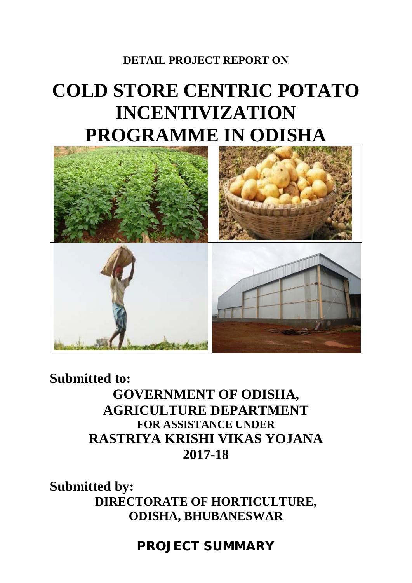## **DETAIL PROJECT REPORT ON**

# **COLD STORE CENTRIC POTATO INCENTIVIZATION PROGRAMME IN ODISHA**



**Submitted to: GOVERNMENT OF ODISHA, AGRICULTURE DEPARTMENT FOR ASSISTANCE UNDER RASTRIYA KRISHI VIKAS YOJANA 2017-18** 

**Submitted by: DIRECTORATE OF HORTICULTURE, ODISHA, BHUBANESWAR** 

**PROJECT SUMMARY**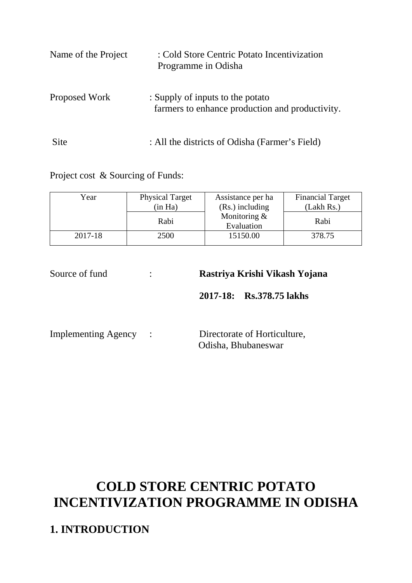| Name of the Project | : Cold Store Centric Potato Incentivization<br>Programme in Odisha                  |
|---------------------|-------------------------------------------------------------------------------------|
| Proposed Work       | : Supply of inputs to the potato<br>farmers to enhance production and productivity. |
| Site                | : All the districts of Odisha (Farmer's Field)                                      |

Project cost & Sourcing of Funds:

| Year    | <b>Physical Target</b><br>(in Ha) | Assistance per ha<br>$(Rs.)$ including | <b>Financial Target</b><br>(Lakh Rs.) |
|---------|-----------------------------------|----------------------------------------|---------------------------------------|
|         | Rabi                              | Monitoring $&$<br>Evaluation           | Rabi                                  |
| 2017-18 | 2500                              | 15150.00                               | 378.75                                |

| Source of fund        | Rastriya Krishi Vikash Yojana                       |
|-----------------------|-----------------------------------------------------|
|                       | 2017-18: Rs.378.75 lakhs                            |
| Implementing Agency : | Directorate of Horticulture,<br>Odisha, Bhubaneswar |

# **COLD STORE CENTRIC POTATO INCENTIVIZATION PROGRAMME IN ODISHA**

**1. INTRODUCTION**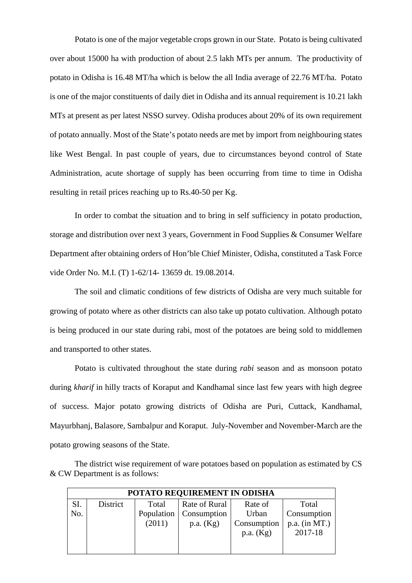Potato is one of the major vegetable crops grown in our State. Potato is being cultivated over about 15000 ha with production of about 2.5 lakh MTs per annum. The productivity of potato in Odisha is 16.48 MT/ha which is below the all India average of 22.76 MT/ha. Potato is one of the major constituents of daily diet in Odisha and its annual requirement is 10.21 lakh MTs at present as per latest NSSO survey. Odisha produces about 20% of its own requirement of potato annually. Most of the State's potato needs are met by import from neighbouring states like West Bengal. In past couple of years, due to circumstances beyond control of State Administration, acute shortage of supply has been occurring from time to time in Odisha resulting in retail prices reaching up to Rs.40-50 per Kg.

In order to combat the situation and to bring in self sufficiency in potato production, storage and distribution over next 3 years, Government in Food Supplies & Consumer Welfare Department after obtaining orders of Hon'ble Chief Minister, Odisha, constituted a Task Force vide Order No. M.I. (T) 1-62/14- 13659 dt. 19.08.2014.

The soil and climatic conditions of few districts of Odisha are very much suitable for growing of potato where as other districts can also take up potato cultivation. Although potato is being produced in our state during rabi, most of the potatoes are being sold to middlemen and transported to other states.

Potato is cultivated throughout the state during *rabi* season and as monsoon potato during *kharif* in hilly tracts of Koraput and Kandhamal since last few years with high degree of success. Major potato growing districts of Odisha are Puri, Cuttack, Kandhamal, Mayurbhanj, Balasore, Sambalpur and Koraput. July-November and November-March are the potato growing seasons of the State.

The district wise requirement of ware potatoes based on population as estimated by CS & CW Department is as follows:

|     | POTATO REQUIREMENT IN ODISHA |            |               |             |                 |
|-----|------------------------------|------------|---------------|-------------|-----------------|
| SI. | District                     | Total      | Rate of Rural | Rate of     | Total           |
| No. |                              | Population | Consumption   | Urban       | Consumption     |
|     |                              | (2011)     | p.a. (Kg)     | Consumption | $p.a.$ (in MT.) |
|     |                              |            |               | p.a. (Kg)   | 2017-18         |
|     |                              |            |               |             |                 |
|     |                              |            |               |             |                 |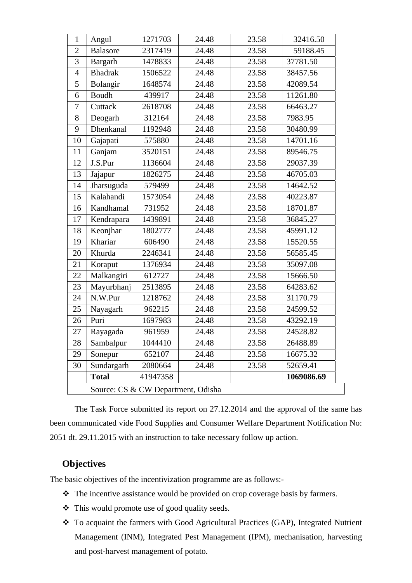| $\mathbf{1}$   | Angul                              | 1271703  | 24.48 | 23.58 | 32416.50   |
|----------------|------------------------------------|----------|-------|-------|------------|
| $\overline{2}$ | <b>Balasore</b>                    | 2317419  | 24.48 | 23.58 | 59188.45   |
| 3              | Bargarh                            | 1478833  | 24.48 | 23.58 | 37781.50   |
| $\overline{4}$ | <b>Bhadrak</b>                     | 1506522  | 24.48 | 23.58 | 38457.56   |
| 5              | Bolangir                           | 1648574  | 24.48 | 23.58 | 42089.54   |
| 6              | <b>Boudh</b>                       | 439917   | 24.48 | 23.58 | 11261.80   |
| $\tau$         | Cuttack                            | 2618708  | 24.48 | 23.58 | 66463.27   |
| 8              | Deogarh                            | 312164   | 24.48 | 23.58 | 7983.95    |
| 9              | Dhenkanal                          | 1192948  | 24.48 | 23.58 | 30480.99   |
| 10             | Gajapati                           | 575880   | 24.48 | 23.58 | 14701.16   |
| 11             | Ganjam                             | 3520151  | 24.48 | 23.58 | 89546.75   |
| 12             | J.S.Pur                            | 1136604  | 24.48 | 23.58 | 29037.39   |
| 13             | Jajapur                            | 1826275  | 24.48 | 23.58 | 46705.03   |
| 14             | Jharsuguda                         | 579499   | 24.48 | 23.58 | 14642.52   |
| 15             | Kalahandi                          | 1573054  | 24.48 | 23.58 | 40223.87   |
| 16             | Kandhamal                          | 731952   | 24.48 | 23.58 | 18701.87   |
| 17             | Kendrapara                         | 1439891  | 24.48 | 23.58 | 36845.27   |
| 18             | Keonjhar                           | 1802777  | 24.48 | 23.58 | 45991.12   |
| 19             | Khariar                            | 606490   | 24.48 | 23.58 | 15520.55   |
| 20             | Khurda                             | 2246341  | 24.48 | 23.58 | 56585.45   |
| 21             | Koraput                            | 1376934  | 24.48 | 23.58 | 35097.08   |
| 22             | Malkangiri                         | 612727   | 24.48 | 23.58 | 15666.50   |
| 23             | Mayurbhanj                         | 2513895  | 24.48 | 23.58 | 64283.62   |
| 24             | N.W.Pur                            | 1218762  | 24.48 | 23.58 | 31170.79   |
| 25             | Nayagarh                           | 962215   | 24.48 | 23.58 | 24599.52   |
| 26             | Puri                               | 1697983  | 24.48 | 23.58 | 43292.19   |
| 27             | Rayagada                           | 961959   | 24.48 | 23.58 | 24528.82   |
| 28             | Sambalpur                          | 1044410  | 24.48 | 23.58 | 26488.89   |
| 29             | Sonepur                            | 652107   | 24.48 | 23.58 | 16675.32   |
| 30             | Sundargarh                         | 2080664  | 24.48 | 23.58 | 52659.41   |
|                | <b>Total</b>                       | 41947358 |       |       | 1069086.69 |
|                | Source: CS & CW Department, Odisha |          |       |       |            |

The Task Force submitted its report on 27.12.2014 and the approval of the same has been communicated vide Food Supplies and Consumer Welfare Department Notification No: 2051 dt. 29.11.2015 with an instruction to take necessary follow up action.

#### **Objectives**

The basic objectives of the incentivization programme are as follows:-

- \* The incentive assistance would be provided on crop coverage basis by farmers.
- This would promote use of good quality seeds.
- To acquaint the farmers with Good Agricultural Practices (GAP), Integrated Nutrient Management (INM), Integrated Pest Management (IPM), mechanisation, harvesting and post-harvest management of potato.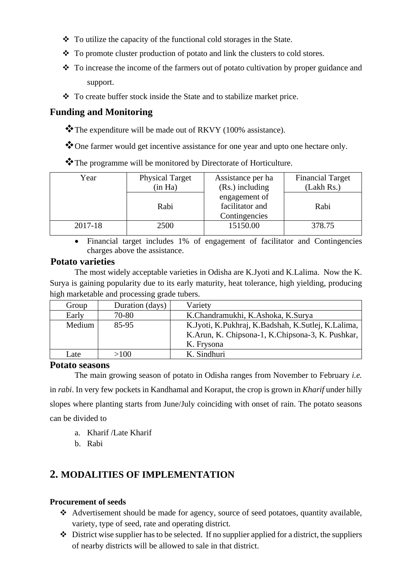- $\div$  To utilize the capacity of the functional cold storages in the State.
- To promote cluster production of potato and link the clusters to cold stores.
- $\bullet$  To increase the income of the farmers out of potato cultivation by proper guidance and support.
- \* To create buffer stock inside the State and to stabilize market price.

#### **Funding and Monitoring**

\*The expenditure will be made out of RKVY (100% assistance).

\* One farmer would get incentive assistance for one year and upto one hectare only.

\* The programme will be monitored by Directorate of Horticulture.

| Year    | <b>Physical Target</b> | Assistance per ha                | <b>Financial Target</b> |
|---------|------------------------|----------------------------------|-------------------------|
|         | (in Ha)                | $(Rs.)$ including                | (Lakh Rs.)              |
|         |                        | engagement of                    |                         |
|         | Rabi                   | facilitator and<br>Contingencies | Rabi                    |
| 2017-18 | 2500                   | 15150.00                         | 378.75                  |

• Financial target includes 1% of engagement of facilitator and Contingencies charges above the assistance.

#### **Potato varieties**

 The most widely acceptable varieties in Odisha are K.Jyoti and K.Lalima. Now the K. Surya is gaining popularity due to its early maturity, heat tolerance, high yielding, producing high marketable and processing grade tubers.

| Group  | Duration (days) | Variety                                            |
|--------|-----------------|----------------------------------------------------|
| Early  | 70-80           | K.Chandramukhi, K.Ashoka, K.Surya                  |
| Medium | 85-95           | K.Jyoti, K.Pukhraj, K.Badshah, K.Sutlej, K.Lalima, |
|        |                 | K.Arun, K. Chipsona-1, K.Chipsona-3, K. Pushkar,   |
|        |                 | K. Frysona                                         |
| Late   | >100            | K. Sindhuri                                        |

#### **Potato seasons**

 The main growing season of potato in Odisha ranges from November to February *i.e.* in *rabi*. In very few pockets in Kandhamal and Koraput, the crop is grown in *Kharif* under hilly slopes where planting starts from June/July coinciding with onset of rain. The potato seasons can be divided to

- a. Kharif /Late Kharif
- b. Rabi

### **2. MODALITIES OF IMPLEMENTATION**

#### **Procurement of seeds**

- Advertisement should be made for agency, source of seed potatoes, quantity available, variety, type of seed, rate and operating district.
- $\triangle$  District wise supplier has to be selected. If no supplier applied for a district, the suppliers of nearby districts will be allowed to sale in that district.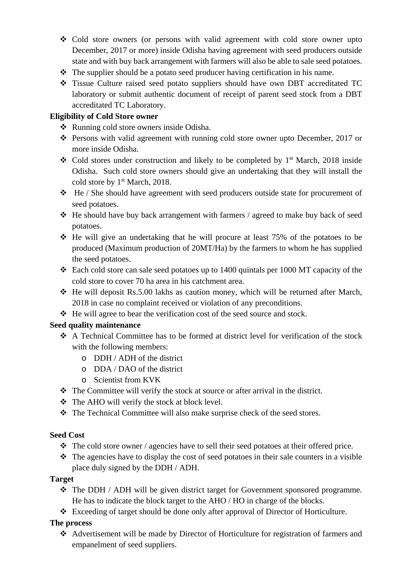- Cold store owners (or persons with valid agreement with cold store owner upto December, 2017 or more) inside Odisha having agreement with seed producers outside state and with buy back arrangement with farmers will also be able to sale seed potatoes.
- $\triangle$  The supplier should be a potato seed producer having certification in his name.
- Tissue Culture raised seed potato suppliers should have own DBT accreditated TC laboratory or submit authentic document of receipt of parent seed stock from a DBT accreditated TC Laboratory.

#### **Eligibility of Cold Store owner**

- Running cold store owners inside Odisha.
- Persons with valid agreement with running cold store owner upto December, 2017 or more inside Odisha.
- $\div$  Cold stores under construction and likely to be completed by 1<sup>st</sup> March, 2018 inside Odisha. Such cold store owners should give an undertaking that they will install the cold store by 1<sup>st</sup> March, 2018.
- $\div$  He / She should have agreement with seed producers outside state for procurement of seed potatoes.
- He should have buy back arrangement with farmers / agreed to make buy back of seed potatoes.
- $\div$  He will give an undertaking that he will procure at least 75% of the potatoes to be produced (Maximum production of 20MT/Ha) by the farmers to whom he has supplied the seed potatoes.
- $\div$  Each cold store can sale seed potatoes up to 1400 quintals per 1000 MT capacity of the cold store to cover 70 ha area in his catchment area.
- $\div$  He will deposit Rs.5.00 lakhs as caution money, which will be returned after March, 2018 in case no complaint received or violation of any preconditions.
- $\triangleleft$  He will agree to bear the verification cost of the seed source and stock.

#### **Seed quality maintenance**

- A Technical Committee has to be formed at district level for verification of the stock with the following members:
	- o DDH / ADH of the district
	- o DDA / DAO of the district
	- o Scientist from KVK
- \* The Committee will verify the stock at source or after arrival in the district.
- The AHO will verify the stock at block level.
- The Technical Committee will also make surprise check of the seed stores.

#### **Seed Cost**

- $\triangleleft$  The cold store owner / agencies have to sell their seed potatoes at their offered price.
- $\triangle$  The agencies have to display the cost of seed potatoes in their sale counters in a visible place duly signed by the DDH / ADH.

#### **Target**

- The DDH / ADH will be given district target for Government sponsored programme. He has to indicate the block target to the AHO / HO in charge of the blocks.
- Exceeding of target should be done only after approval of Director of Horticulture.

#### **The process**

 Advertisement will be made by Director of Horticulture for registration of farmers and empanelment of seed suppliers.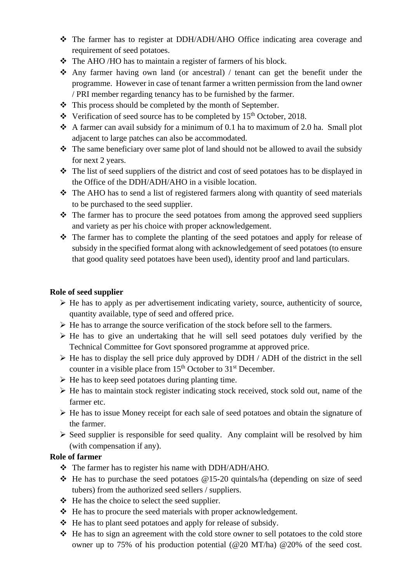- The farmer has to register at DDH/ADH/AHO Office indicating area coverage and requirement of seed potatoes.
- The AHO /HO has to maintain a register of farmers of his block.
- Any farmer having own land (or ancestral) / tenant can get the benefit under the programme. However in case of tenant farmer a written permission from the land owner / PRI member regarding tenancy has to be furnished by the farmer.
- $\triangle$  This process should be completed by the month of September.
- $\cdot \cdot$  Verification of seed source has to be completed by 15<sup>th</sup> October, 2018.
- A farmer can avail subsidy for a minimum of 0.1 ha to maximum of 2.0 ha. Small plot adjacent to large patches can also be accommodated.
- $\triangle$  The same beneficiary over same plot of land should not be allowed to avail the subsidy for next 2 years.
- $\cdot \cdot$  The list of seed suppliers of the district and cost of seed potatoes has to be displayed in the Office of the DDH/ADH/AHO in a visible location.
- $\triangle$  The AHO has to send a list of registered farmers along with quantity of seed materials to be purchased to the seed supplier.
- The farmer has to procure the seed potatoes from among the approved seed suppliers and variety as per his choice with proper acknowledgement.
- The farmer has to complete the planting of the seed potatoes and apply for release of subsidy in the specified format along with acknowledgement of seed potatoes (to ensure that good quality seed potatoes have been used), identity proof and land particulars.

#### **Role of seed supplier**

- $\triangleright$  He has to apply as per advertisement indicating variety, source, authenticity of source, quantity available, type of seed and offered price.
- $\triangleright$  He has to arrange the source verification of the stock before sell to the farmers.
- $\triangleright$  He has to give an undertaking that he will sell seed potatoes duly verified by the Technical Committee for Govt sponsored programme at approved price.
- $\triangleright$  He has to display the sell price duly approved by DDH / ADH of the district in the sell counter in a visible place from  $15<sup>th</sup>$  October to  $31<sup>st</sup>$  December.
- $\triangleright$  He has to keep seed potatoes during planting time.
- $\triangleright$  He has to maintain stock register indicating stock received, stock sold out, name of the farmer etc.
- $\triangleright$  He has to issue Money receipt for each sale of seed potatoes and obtain the signature of the farmer.
- $\triangleright$  Seed supplier is responsible for seed quality. Any complaint will be resolved by him (with compensation if any).

#### **Role of farmer**

- \* The farmer has to register his name with DDH/ADH/AHO.
- $\div$  He has to purchase the seed potatoes @15-20 quintals/ha (depending on size of seed tubers) from the authorized seed sellers / suppliers.
- $\triangle$  He has the choice to select the seed supplier.
- $\triangle$  He has to procure the seed materials with proper acknowledgement.
- $\triangleleft$  He has to plant seed potatoes and apply for release of subsidy.
- $\triangle$  He has to sign an agreement with the cold store owner to sell potatoes to the cold store owner up to 75% of his production potential (@20 MT/ha) @20% of the seed cost.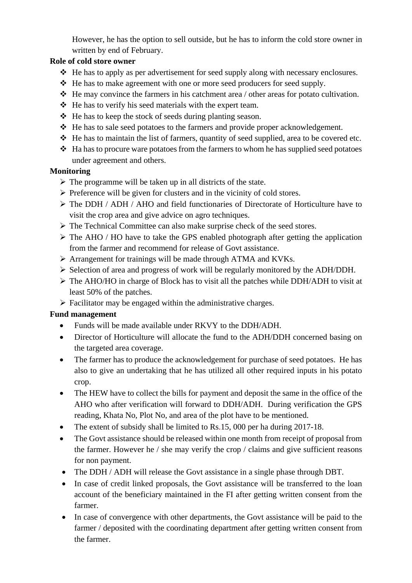However, he has the option to sell outside, but he has to inform the cold store owner in written by end of February.

#### **Role of cold store owner**

- $\triangleleft$ . He has to apply as per advertisement for seed supply along with necessary enclosures.
- $\triangleleft$  He has to make agreement with one or more seed producers for seed supply.
- $\triangleleft$  He may convince the farmers in his catchment area / other areas for potato cultivation.
- $\triangle$  He has to verify his seed materials with the expert team.
- $\triangle$  He has to keep the stock of seeds during planting season.
- $\triangle$  He has to sale seed potatoes to the farmers and provide proper acknowledgement.
- $\triangleleft$  He has to maintain the list of farmers, quantity of seed supplied, area to be covered etc.
- $\triangleleft$  Ha has to procure ware potatoes from the farmers to whom he has supplied seed potatoes under agreement and others.

#### **Monitoring**

- $\triangleright$  The programme will be taken up in all districts of the state.
- $\triangleright$  Preference will be given for clusters and in the vicinity of cold stores.
- $\triangleright$  The DDH / ADH / AHO and field functionaries of Directorate of Horticulture have to visit the crop area and give advice on agro techniques.
- ¾ The Technical Committee can also make surprise check of the seed stores.
- $\triangleright$  The AHO / HO have to take the GPS enabled photograph after getting the application from the farmer and recommend for release of Govt assistance.
- $\triangleright$  Arrangement for trainings will be made through ATMA and KVKs.
- ¾ Selection of area and progress of work will be regularly monitored by the ADH/DDH.
- ¾ The AHO/HO in charge of Block has to visit all the patches while DDH/ADH to visit at least 50% of the patches.
- $\triangleright$  Facilitator may be engaged within the administrative charges.

#### **Fund management**

- Funds will be made available under RKVY to the DDH/ADH.
- Director of Horticulture will allocate the fund to the ADH/DDH concerned basing on the targeted area coverage.
- The farmer has to produce the acknowledgement for purchase of seed potatoes. He has also to give an undertaking that he has utilized all other required inputs in his potato crop.
- The HEW have to collect the bills for payment and deposit the same in the office of the AHO who after verification will forward to DDH/ADH. During verification the GPS reading, Khata No, Plot No, and area of the plot have to be mentioned.
- The extent of subsidy shall be limited to Rs.15, 000 per ha during 2017-18.
- The Govt assistance should be released within one month from receipt of proposal from the farmer. However he / she may verify the crop / claims and give sufficient reasons for non payment.
- The DDH / ADH will release the Govt assistance in a single phase through DBT.
- In case of credit linked proposals, the Govt assistance will be transferred to the loan account of the beneficiary maintained in the FI after getting written consent from the farmer.
- In case of convergence with other departments, the Govt assistance will be paid to the farmer / deposited with the coordinating department after getting written consent from the farmer.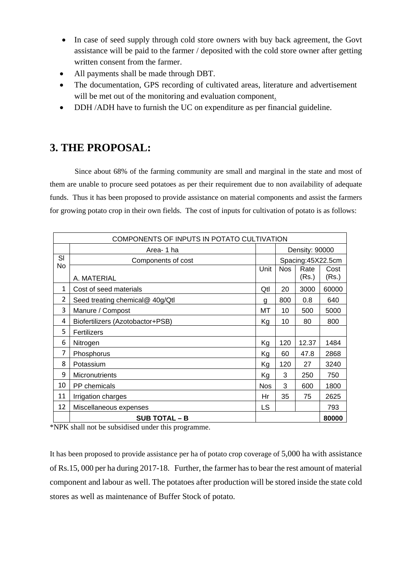- In case of seed supply through cold store owners with buy back agreement, the Govt assistance will be paid to the farmer / deposited with the cold store owner after getting written consent from the farmer.
- All payments shall be made through DBT.
- The documentation, GPS recording of cultivated areas, literature and advertisement will be met out of the monitoring and evaluation component.
- DDH /ADH have to furnish the UC on expenditure as per financial guideline.

# **3. THE PROPOSAL:**

Since about 68% of the farming community are small and marginal in the state and most of them are unable to procure seed potatoes as per their requirement due to non availability of adequate funds. Thus it has been proposed to provide assistance on material components and assist the farmers for growing potato crop in their own fields. The cost of inputs for cultivation of potato is as follows:

|                | COMPONENTS OF INPUTS IN POTATO CULTIVATION |      |                |                   |       |
|----------------|--------------------------------------------|------|----------------|-------------------|-------|
|                | Area-1 ha                                  |      | Density: 90000 |                   |       |
| SI             | Components of cost                         |      |                | Spacing:45X22.5cm |       |
| No             |                                            | Unit | <b>Nos</b>     | Rate              | Cost  |
|                | A. MATERIAL                                |      |                | (Rs.)             | (Rs.) |
| 1              | Cost of seed materials                     | Qtl  | 20             | 3000              | 60000 |
| $\overline{2}$ | Seed treating chemical@ 40g/Qtl            | g    | 800            | 0.8               | 640   |
| 3              | Manure / Compost                           | МT   | 10             | 500               | 5000  |
| 4              | Biofertilizers (Azotobactor+PSB)           | Kg   | 10             | 80                | 800   |
| 5              | Fertilizers                                |      |                |                   |       |
| 6              | Nitrogen                                   | Kg   | 120            | 12.37             | 1484  |
| 7              | Phosphorus                                 | Кg   | 60             | 47.8              | 2868  |
| 8              | Potassium                                  | Kg   | 120            | 27                | 3240  |
| 9              | Micronutrients                             | Kg   | 3              | 250               | 750   |
| 10             | PP chemicals                               | Nos  | 3              | 600               | 1800  |
| 11             | Irrigation charges                         | Hr   | 35             | 75                | 2625  |
| 12             | Miscellaneous expenses                     | LS   |                |                   | 793   |
|                | <b>SUB TOTAL - B</b>                       |      |                |                   | 80000 |

\*NPK shall not be subsidised under this programme.

It has been proposed to provide assistance per ha of potato crop coverage of 5,000 ha with assistance of Rs.15, 000 per ha during 2017-18. Further, the farmer has to bear the rest amount of material component and labour as well. The potatoes after production will be stored inside the state cold stores as well as maintenance of Buffer Stock of potato.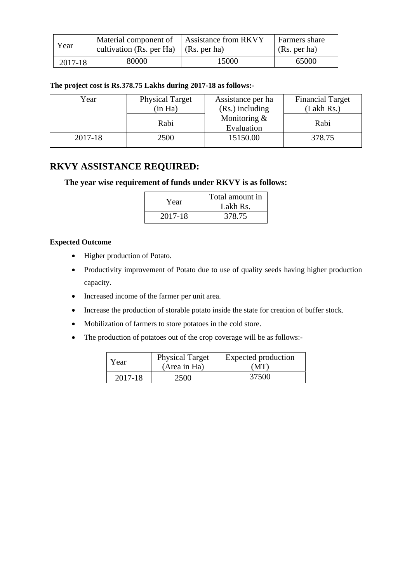| Year    | Material component of Assistance from RKVY<br>cultivation (Rs. per Ha) $\vert$ (Rs. per ha) |       | <b>Farmers</b> share<br>(Rs. per ha) |
|---------|---------------------------------------------------------------------------------------------|-------|--------------------------------------|
| 2017-18 | 80000                                                                                       | 15000 | 65000                                |

#### **The project cost is Rs.378.75 Lakhs during 2017-18 as follows:-**

| Year    | <b>Physical Target</b> | Assistance per ha            | <b>Financial Target</b> |
|---------|------------------------|------------------------------|-------------------------|
|         | (in Ha)                | (Rs.) including              | (Lakh Rs.)              |
|         | Rabi                   | Monitoring $&$<br>Evaluation | Rabi                    |
| 2017-18 | 2500                   | 15150.00                     | 378.75                  |

#### **RKVY ASSISTANCE REQUIRED:**

#### **The year wise requirement of funds under RKVY is as follows:**

| Year    | Total amount in<br>Lakh Rs. |
|---------|-----------------------------|
| 2017-18 | 378.75                      |

#### **Expected Outcome**

- Higher production of Potato.
- Productivity improvement of Potato due to use of quality seeds having higher production capacity.
- Increased income of the farmer per unit area.
- Increase the production of storable potato inside the state for creation of buffer stock.
- Mobilization of farmers to store potatoes in the cold store.
- The production of potatoes out of the crop coverage will be as follows:-

| Year    | <b>Physical Target</b><br>(Area in Ha) | Expected production<br>(MT) |
|---------|----------------------------------------|-----------------------------|
| 2017-18 | 2500                                   | 37500                       |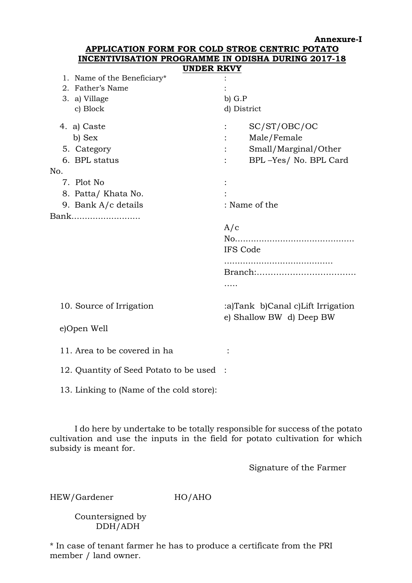**Annexure-I**

| APPLICATION FORM FOR COLD STROE CENTRIC POTATO                         |                                                                              |  |  |  |  |  |
|------------------------------------------------------------------------|------------------------------------------------------------------------------|--|--|--|--|--|
| <b>INCENTIVISATION PROGRAMME IN ODISHA DURING 2017-18</b>              |                                                                              |  |  |  |  |  |
| <b>UNDER RKVY</b><br>1. Name of the Beneficiary*<br>2. Father's Name   |                                                                              |  |  |  |  |  |
| 3. a) Village<br>c) Block                                              | $b)$ $G.P$<br>d) District                                                    |  |  |  |  |  |
| 4. a) Caste<br>b) Sex<br>5. Category<br>6. BPL status<br>No.           | SC/ST/OBC/OC<br>Male/Female<br>Small/Marginal/Other<br>BPL-Yes/ No. BPL Card |  |  |  |  |  |
| 7. Plot No<br>8. Patta/Khata No.<br>9. Bank A/c details                | : Name of the                                                                |  |  |  |  |  |
| Bank                                                                   | A/c<br><b>IFS Code</b><br>.                                                  |  |  |  |  |  |
| 10. Source of Irrigation<br>e)Open Well                                | :a)Tank b)Canal c)Lift Irrigation<br>e) Shallow BW d) Deep BW                |  |  |  |  |  |
| 11. Area to be covered in ha<br>12. Quantity of Seed Potato to be used |                                                                              |  |  |  |  |  |
| 13. Linking to (Name of the cold store):                               |                                                                              |  |  |  |  |  |

 I do here by undertake to be totally responsible for success of the potato cultivation and use the inputs in the field for potato cultivation for which subsidy is meant for.

Signature of the Farmer

HEW/Gardener HO/AHO

 Countersigned by DDH/ADH

\* In case of tenant farmer he has to produce a certificate from the PRI member / land owner.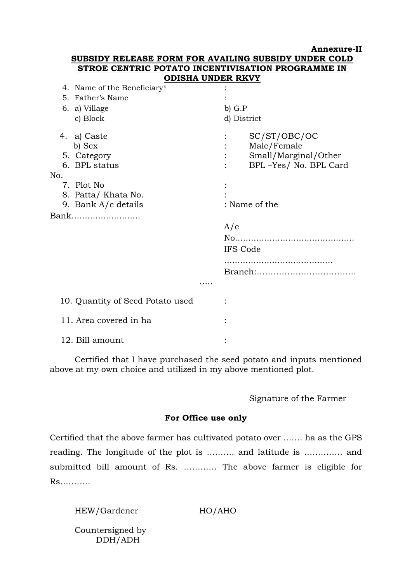|                                  | <b>Annexure-Il</b>                                   |
|----------------------------------|------------------------------------------------------|
|                                  | SUBSIDY RELEASE FORM FOR AVAILING SUBSIDY UNDER COLD |
|                                  | STROE CENTRIC POTATO INCENTIVISATION PROGRAMME IN    |
|                                  | <b>ODISHA UNDER RKVY</b>                             |
| 4. Name of the Beneficiary*      |                                                      |
| 5. Father's Name                 |                                                      |
| 6. a) Village                    | $b)$ $G.P$                                           |
| c) Block                         | d) District                                          |
| 4. a) Caste                      | SC/ST/OBC/OC                                         |
| b) Sex                           | Male/Female                                          |
| 5. Category                      | Small/Marginal/Other                                 |
| 6. BPL status                    | BPL-Yes/ No. BPL Card                                |
| No.                              |                                                      |
| 7. Plot No                       |                                                      |
| 8. Patta/Khata No.               |                                                      |
| 9. Bank $A/c$ details            | : Name of the                                        |
| Bank                             |                                                      |
|                                  | A/c                                                  |
|                                  |                                                      |
|                                  | IFS Code                                             |
|                                  |                                                      |
|                                  |                                                      |
|                                  |                                                      |
|                                  |                                                      |
| 10. Quantity of Seed Potato used |                                                      |
| 11. Area covered in ha           |                                                      |
| 12. Bill amount                  |                                                      |

 Certified that I have purchased the seed potato and inputs mentioned above at my own choice and utilized in my above mentioned plot.

#### Signature of the Farmer

#### **For Office use only**

Certified that the above farmer has cultivated potato over ……. ha as the GPS reading. The longitude of the plot is ………. and latitude is ………….. and submitted bill amount of Rs. ………… The above farmer is eligible for Rs………..

HEW/Gardener HO/AHO

 Countersigned by DDH/ADH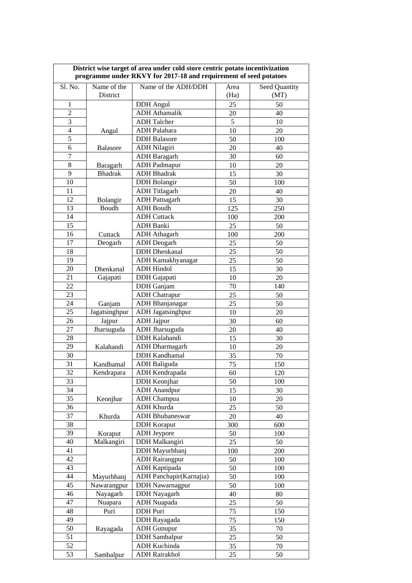| District wise target of area under cold store centric potato incentivization<br>programme under RKVY for 2017-18 and requirement of seed potatoes |                           |                                          |           |               |  |
|---------------------------------------------------------------------------------------------------------------------------------------------------|---------------------------|------------------------------------------|-----------|---------------|--|
| Sl. No.                                                                                                                                           | Name of the               | Name of the ADH/DDH                      | Area      | Seed Quantity |  |
|                                                                                                                                                   | District                  |                                          | (Ha)      | (MT)          |  |
| $\mathbf{1}$                                                                                                                                      |                           | <b>DDH</b> Angul                         | 25        | 50            |  |
| $\overline{c}$                                                                                                                                    |                           | <b>ADH</b> Athamalik                     | 20        | 40            |  |
| 3                                                                                                                                                 |                           | <b>ADH</b> Talcher                       | 5         | 10            |  |
| $\overline{4}$                                                                                                                                    | Angul                     | <b>ADH</b> Palahara                      | 10        | 20            |  |
| $\mathfrak s$                                                                                                                                     |                           | <b>DDH</b> Balasore                      | 50        | 100           |  |
| 6                                                                                                                                                 | <b>Balasore</b>           | <b>ADH Nilagiri</b>                      | 20        | 40            |  |
| $\overline{7}$                                                                                                                                    |                           | <b>ADH</b> Baragarh                      | 30        | 60            |  |
| 8                                                                                                                                                 | Baragarh                  | <b>ADH</b> Padmapur                      | 10        | 20            |  |
| 9                                                                                                                                                 | <b>Bhadrak</b>            | <b>ADH</b> Bhadrak                       | 15        | 30            |  |
| 10                                                                                                                                                |                           | <b>DDH</b> Bolangir                      | 50        | 100           |  |
| 11                                                                                                                                                |                           | <b>ADH</b> Titlagarh                     | 20        | 40            |  |
| 12                                                                                                                                                | Bolangir                  | <b>ADH</b> Patnagarh                     | 15        | 30            |  |
| 13                                                                                                                                                | Boudh                     | <b>ADH</b> Boudh                         | 125       | 250           |  |
| 14                                                                                                                                                |                           | <b>ADH Cuttack</b>                       | 100       | 200           |  |
| 15                                                                                                                                                |                           | <b>ADH</b> Banki                         | 25        | 50            |  |
| 16                                                                                                                                                | Cuttack                   | <b>ADH</b> Athagarh                      | 100       | 200           |  |
| 17                                                                                                                                                | Deogarh                   | <b>ADH</b> Deogarh                       | 25        | 50            |  |
| 18                                                                                                                                                |                           | <b>DDH</b> Dhenkanal                     | 25        | 50            |  |
| 19                                                                                                                                                |                           | ADH Kamakhyanagar                        | 25        | 50            |  |
| 20                                                                                                                                                | Dhenkanal                 | <b>ADH Hindol</b>                        | 15        | 30            |  |
| 21                                                                                                                                                | Gajapati                  | DDH Gajapati                             | 10        | 20            |  |
| 22                                                                                                                                                |                           | DDH Ganjam                               | 70        | 140           |  |
| 23                                                                                                                                                |                           | <b>ADH</b> Chatrapur                     | 25        | 50            |  |
| 24                                                                                                                                                |                           | <b>ADH</b> Bhanjanagar                   | 25        | 50            |  |
| 25                                                                                                                                                | Ganjam<br>Jagatsinghpur   | <b>ADH</b> Jagatsinghpur                 |           |               |  |
| 26                                                                                                                                                | Jajpur                    | <b>ADH</b> Jajpur                        | 10        | 20            |  |
| 27                                                                                                                                                | Jharsuguda                | <b>ADH</b> Jharsuguda                    | 30<br>20  | 60<br>40      |  |
| 28                                                                                                                                                |                           | DDH Kalahandi                            | 15        | 30            |  |
| 29                                                                                                                                                |                           | <b>ADH</b> Dharmagarh                    |           |               |  |
| 30                                                                                                                                                | Kalahandi                 | <b>DDH</b> Kandhamal                     | 10<br>35  | 20<br>70      |  |
| 31                                                                                                                                                |                           | <b>ADH</b> Baliguda                      |           |               |  |
| 32                                                                                                                                                | Kandhamal<br>Kendrapara   | ADH Kendrapada                           | 75<br>60  | 150<br>120    |  |
| 33                                                                                                                                                |                           | <b>DDH</b> Keonjhar                      | 50        | 100           |  |
| 34                                                                                                                                                |                           | <b>ADH</b> Anandpur                      | 15        |               |  |
| 35                                                                                                                                                |                           |                                          |           | 30            |  |
| 36                                                                                                                                                | Keonjhar                  | <b>ADH</b> Champua<br><b>ADH Khurda</b>  | 10<br>25  | 20<br>50      |  |
| 37                                                                                                                                                | Khurda                    | <b>ADH</b> Bhubaneswar                   | 20        | 40            |  |
| 38                                                                                                                                                |                           |                                          | 300       |               |  |
| 39                                                                                                                                                |                           | <b>DDH</b> Koraput<br><b>ADH</b> Jeypore | 50        | 600<br>100    |  |
| 40                                                                                                                                                | Koraput<br>Malkangiri     | DDH Malkangiri                           | 25        | 50            |  |
| 41                                                                                                                                                |                           | DDH Mayurbhanj                           |           |               |  |
| 42                                                                                                                                                |                           | <b>ADH</b> Rairangpur                    | 100<br>50 | 200<br>100    |  |
| 43                                                                                                                                                |                           | <b>ADH</b> Kaptipada                     |           |               |  |
| 44                                                                                                                                                |                           | ADH Panchapir(Karnajia)                  | 50<br>50  | 100           |  |
| 45                                                                                                                                                | Mayurbhanj<br>Nawarangpur | <b>DDH</b> Nawarnagpur                   | 50        | 100           |  |
| 46                                                                                                                                                | Nayagarh                  | DDH Nayagarh                             |           | 100           |  |
| 47                                                                                                                                                |                           | <b>ADH</b> Nuapada                       | 40<br>25  | 80            |  |
| 48                                                                                                                                                | Nuapara                   | DDH Puri                                 |           | 50            |  |
| 49                                                                                                                                                | Puri                      | DDH Rayagada                             | 75        | 150           |  |
|                                                                                                                                                   |                           |                                          | 75        | 150           |  |
| 50                                                                                                                                                | Rayagada                  | <b>ADH</b> Gunupur                       | 35        | 70            |  |
| 51                                                                                                                                                |                           | <b>DDH</b> Sambalpur                     | 25        | 50            |  |
| 52                                                                                                                                                |                           | <b>ADH</b> Kuchinda                      | 35        | 70            |  |
| 53                                                                                                                                                | Sambalpur                 | <b>ADH Rairakhol</b>                     | 25        | 50            |  |